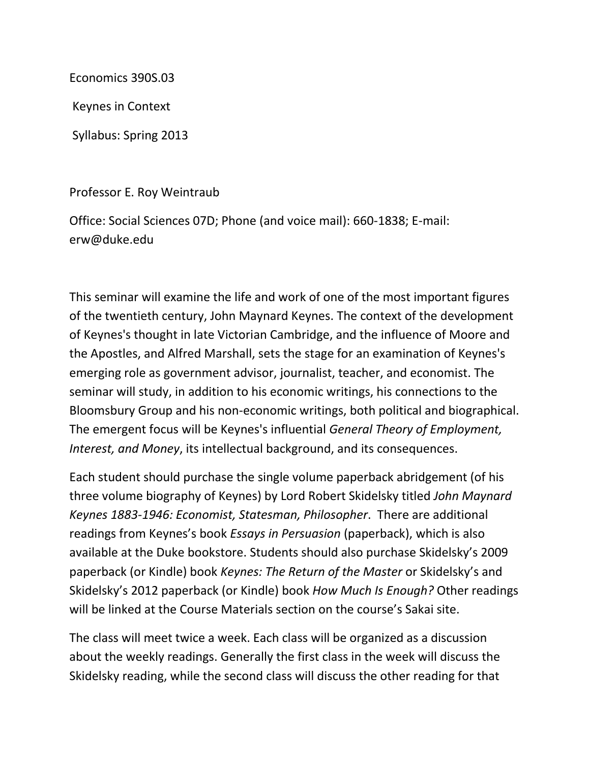Economics 390S.03

Keynes in Context

Syllabus: Spring 2013

Professor E. Roy Weintraub

Office: Social Sciences 07D; Phone (and voice mail): 660-1838; E-mail: erw@duke.edu

This seminar will examine the life and work of one of the most important figures of the twentieth century, John Maynard Keynes. The context of the development of Keynes's thought in late Victorian Cambridge, and the influence of Moore and the Apostles, and Alfred Marshall, sets the stage for an examination of Keynes's emerging role as government advisor, journalist, teacher, and economist. The seminar will study, in addition to his economic writings, his connections to the Bloomsbury Group and his non-economic writings, both political and biographical. The emergent focus will be Keynes's influential *General Theory of Employment, Interest, and Money*, its intellectual background, and its consequences.

Each student should purchase the single volume paperback abridgement (of his three volume biography of Keynes) by Lord Robert Skidelsky titled *John Maynard Keynes 1883-1946: Economist, Statesman, Philosopher*. There are additional readings from Keynes's book *Essays in Persuasion* (paperback), which is also available at the Duke bookstore. Students should also purchase Skidelsky's 2009 paperback (or Kindle) book *Keynes: The Return of the Master* or Skidelsky's and Skidelsky's 2012 paperback (or Kindle) book *How Much Is Enough?* Other readings will be linked at the Course Materials section on the course's Sakai site.

The class will meet twice a week. Each class will be organized as a discussion about the weekly readings. Generally the first class in the week will discuss the Skidelsky reading, while the second class will discuss the other reading for that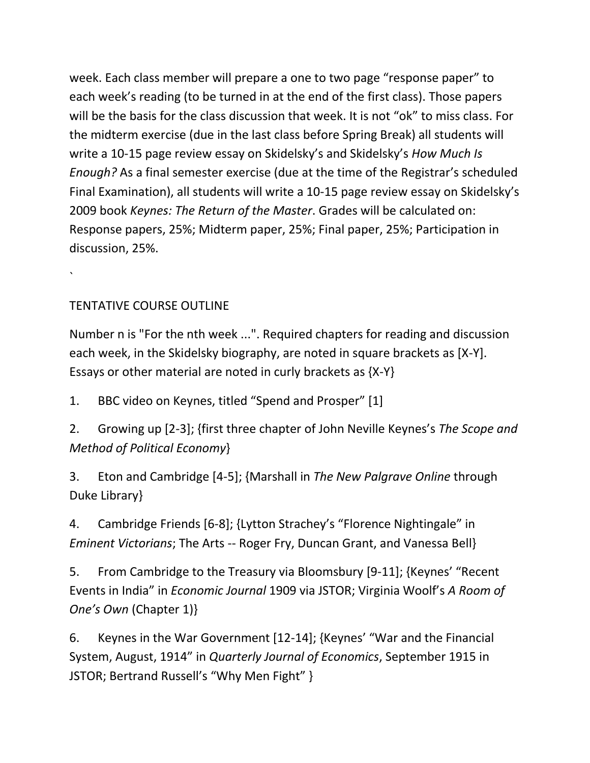week. Each class member will prepare a one to two page "response paper" to each week's reading (to be turned in at the end of the first class). Those papers will be the basis for the class discussion that week. It is not "ok" to miss class. For the midterm exercise (due in the last class before Spring Break) all students will write a 10-15 page review essay on Skidelsky's and Skidelsky's *How Much Is Enough?* As a final semester exercise (due at the time of the Registrar's scheduled Final Examination), all students will write a 10-15 page review essay on Skidelsky's 2009 book *Keynes: The Return of the Master*. Grades will be calculated on: Response papers, 25%; Midterm paper, 25%; Final paper, 25%; Participation in discussion, 25%.

TENTATIVE COURSE OUTLINE

`

Number n is "For the nth week ...". Required chapters for reading and discussion each week, in the Skidelsky biography, are noted in square brackets as [X-Y]. Essays or other material are noted in curly brackets as {X-Y}

1. BBC video on Keynes, titled "Spend and Prosper" [1]

2. Growing up [2-3]; {first three chapter of John Neville Keynes's *The Scope and Method of Political Economy*}

3. Eton and Cambridge [4-5]; {Marshall in *The New Palgrave Online* through Duke Library}

4. Cambridge Friends [6-8]; {Lytton Strachey's "Florence Nightingale" in *Eminent Victorians*; The Arts -- Roger Fry, Duncan Grant, and Vanessa Bell}

5. From Cambridge to the Treasury via Bloomsbury [9-11]; {Keynes' "Recent Events in India" in *Economic Journal* 1909 via JSTOR; Virginia Woolf's *A Room of One's Own* (Chapter 1)}

6. Keynes in the War Government [12-14]; {Keynes' "War and the Financial System, August, 1914" in *Quarterly Journal of Economics*, September 1915 in JSTOR; Bertrand Russell's "Why Men Fight" }